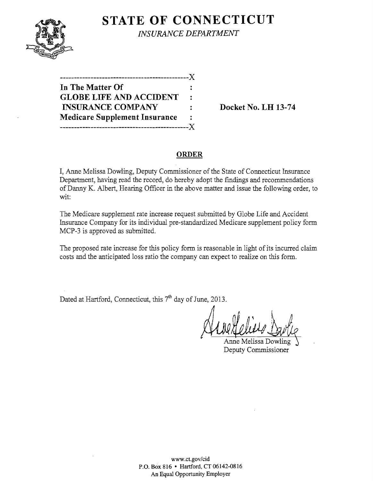**STATE OF CONNECTICUT** 

*INSURANCE DEPARTMENT* 

| In The Matter Of                     | Ξ.        |
|--------------------------------------|-----------|
| <b>GLOBE LIFE AND ACCIDENT</b>       | $\bullet$ |
| <b>INSURANCE COMPANY</b>             |           |
| <b>Medicare Supplement Insurance</b> |           |
|                                      |           |

**Docket No. LH 13-74** 

#### **ORDER**

I, Anne Melissa Dowling, Deputy Commissioner of the State of Connecticut Insurance Department, having read the record, do hereby adopt the findings and recommendations of Danny K. Albert, Hearing Officer in the above matter and issue the following order, to wit:

The Medicare supplement rate increase request submitted by Globe Life and Accident Insurance Company for its individual pre-standardized Medicare supplement policy form MCP-3 is approved as submitted.

The proposed rate increase for this policy form is reasonable in light of its incurred claim costs and the anticipated loss ratio the company can expect to realize on this form.

Dated at Hartford, Connecticut, this 7<sup>th</sup> day of June, 2013.

th day of June, 2013.

nne Melissa Dov Deputy Commissioner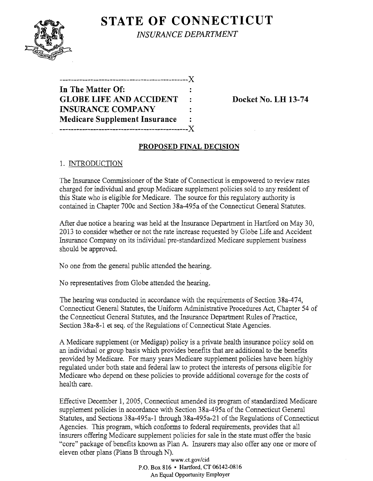# **STATE OF CONNECTICUT**



*INSURANCE DEPARTMENT* 

| In The Matter Of:                    |        |
|--------------------------------------|--------|
| <b>GLOBE LIFE AND ACCIDENT</b>       | $\sim$ |
| <b>INSURANCE COMPANY</b>             |        |
| <b>Medicare Supplement Insurance</b> |        |
| ________________________             | - X -  |

**Docket No. LH 13-74** 

## **PROPOSED FINAL DECISION**

# 1. INTRODUCTION

The Insurance Commissioner of the State of Connecticut is empowered to review rates charged for individual and group Medicare supplement policies sold to any resident of this State who is eligible for Medicare. The source for this regulatory authority is contained in Chapter 700c and Section 38a-495a of the Connecticut General Statutes.

After due notice a hearing was held at the Insurance Department in Hartford on May 30, 2013 to consider whether or not the rate increase requested by Globe Life and Accident Insurance Company on its individual pre-standardized Medicare supplement business should be approved.

No one from the general public attended the hearing.

No representatives from Globe attended the hearing.

The hearing was conducted in accordance with the requirements of Section 38a-474, Connecticut General Statutes, the Uniform Administrative Procedures Act, Chapter 54 of the Connecticut General Statutes, and the Insurance Department Rules of Practice, Section 38a-8-1 et seq. of the Regulations of Connecticut State Agencies.

A Medicare supplement (or Medigap) policy is a private health insurance policy sold on an individual or group basis which provides benefits that are additional to the benefits provided by Medicare. For many years Medicare supplement policies have been highly regulated under both state and federal law to protect the interests of persons eligible for Medicare who depend on these policies to provide additional coverage for the costs of health care.

Effective December 1, 2005, Connecticut amended its program of standardized Medicare supplement policies in accordance with Section 38a-495a of the Connecticut General Statutes, and Sections 38a-495a-1 through 38a-495a-21 of the Regulations of Connecticut Agencies. This program, which conforms to federal requirements, provides that all insurers offering Medicare supplement policies for sale in the state must offer the basic "core" package of benefits known as Plan A. Insurers may also offer anyone or more of eleven other plans (plans B through N).

> www.ct.gov/cid P.O. Box 816 • Hartford, CT 06142-0816 An Equal Opportunity Employer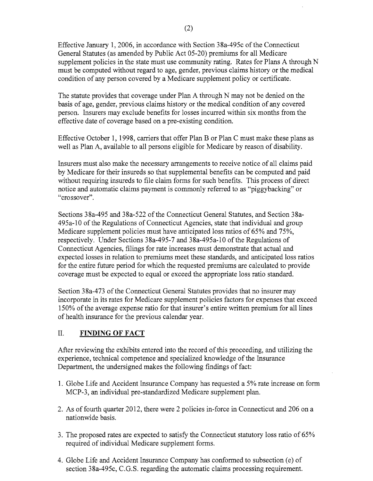Effective January 1,2006, in accordance with Section 38a-495c of the Connecticut General Statutes (as amended by Public Act 05-20) premiums for all Medicare supplement policies in the state must use community rating. Rates for Plans A through N must be computed without regard to age, gender, previous claims history or the medical condition of any person covered by a Medicare supplement policy or certificate.

The statute provides that coverage under Plan A through N may not be denied on the basis of age, gender, previous claims history or the medical condition of any covered person. Insurers may exclude benefits for losses incurred within six months from the effective date of coverage based on a pre-existing condition.

Effective October 1, 1998, carriers that offer Plan B or Plan C must make these plans as well as Plan A, available to all persons eligible for Medicare by reason of disability.

Insurers must also make the necessary arrangements to receive notice of all claims paid by Medicare for their insureds so that supplemental benefits can be computed and paid without requiring insureds to file claim forms for such benefits. This process of direct notice and automatic claims payment is commonly referred to as "piggybacking" or "crossover".

Sections 38a-495 and 38a-522 of the Connecticut General Statutes, and Section 38a-495a-10 of the Regulations of Connecticut Agencies, state that individual and group Medicare supplement policies must have anticipated loss ratios of 65% and 75%, respectively. Under Sections 38a-495-7 and 38a-495a-lO of the Regulations of Connecticut Agencies, filings for rate increases must demonstrate that actual and expected losses in relation to premiums meet these standards, and anticipated loss ratios for the entire future period for which the requested premiums are calculated to provide coverage must be expected to equal or exceed the appropriate loss ratio standard.

Section 38a-473 of the Connecticut General Statutes provides that no insurer may incorporate in its rates for Medicare supplement policies factors for expenses that exceed 150% of the average expense ratio for that insurer's entire written premium for all lines of health insurance for the previous calendar year.

### II. **FINDING OF FACT**

After reviewing the exhibits entered into the record ofthis proceeding, and utilizing the experience, technical competence and specialized knowledge of the Insurance Department, the undersigned makes the following findings of fact:

- 1. Globe Life and Accident Insurance Company has requested a 5% rate increase on form MCP-3, an individual pre-standardized Medicare supplement plan.
- 2. As of fourth quarter 2012, there were 2 policies in-force in Connecticut and 206 on a nationwide basis.
- 3. The proposed rates are expected to satisfy the Connecticut statutory loss ratio of 65% required of individual Medicare supplement forms.
- 4. Globe Life and Accident Insurance Company has conformed to subsection (e) of section 38a-495c, C.G.S. regarding the automatic claims processing requirement.